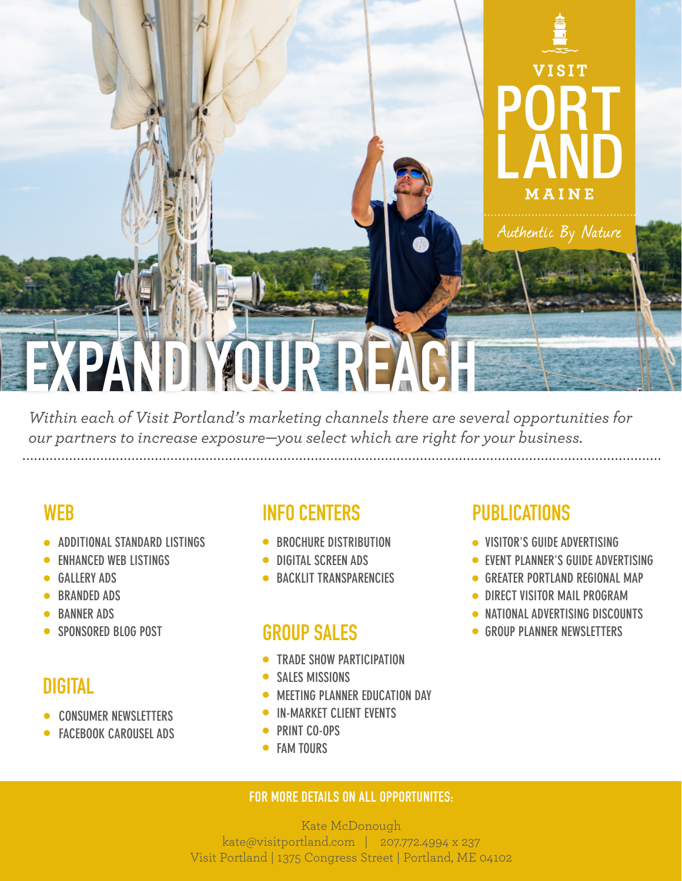

*Within each of Visit Portland's marketing channels there are several opportunities for our partners to increase exposure—you select which are right for your business.*  

- **ADDITIONAL STANDARD LISTINGS**
- **ENHANCED WEB LISTINGS**
- **GALLERY ADS**
- **BRANDED ADS**
- **BANNER ADS**
- **SPONSORED BLOG POST**

## DIGITAL

- **CONSUMER NEWSLETTERS**
- **FACEBOOK CAROUSEL ADS**

## WEB INFO CENTERS PUBLICATIONS

- **BROCHURE DISTRIBUTION**
- **DIGITAL SCREEN ADS**
- **BACKLIT TRANSPARENCIES**

## GROUP SALES

- **TRADE SHOW PARTICIPATION**
- **SALES MISSIONS**
- **MEETING PLANNER EDUCATION DAY**
- **IN-MARKET CLIENT EVENTS**
- **PRINT CO-OPS**
- **FAM TOURS**

- **VISITOR'S GUIDE ADVERTISING**
- **EVENT PLANNER'S GUIDE ADVERTISING**
- **GREATER PORTLAND REGIONAL MAP**
- **DIRECT VISITOR MAIL PROGRAM**
- **NATIONAL ADVERTISING DISCOUNTS**
- **GROUP PLANNER NEWSLETTERS**

### FOR MORE DETAILS ON ALL OPPORTUNITES:

Kate McDonough kate@visitportland.com | 207.772.4994 x 237 Visit Portland | 1375 Congress Street | Portland, ME 04102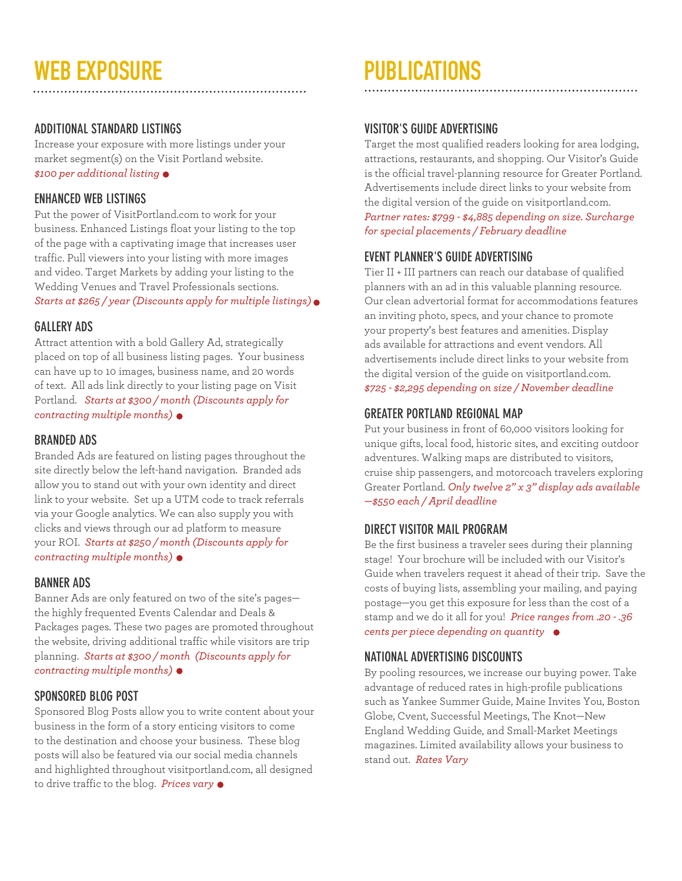# WEB EXPOSURE THE PUBLICATIONS

#### **ADDITIONAL STANDARD LISTINGS**

Increase your exposure with more listings under your market segment(s) on the Visit Portland website. *\$100 per additional listing*

#### **ENHANCED WEB LISTINGS**

Put the power of VisitPortland.com to work for your business. Enhanced Listings float your listing to the top of the page with a captivating image that increases user traffic. Pull viewers into your listing with more images and video. Target Markets by adding your listing to the Wedding Venues and Travel Professionals sections. *Starts at \$265 / year (Discounts apply for multiple listings)*

#### **GALLERY ADS**

Attract attention with a bold Gallery Ad, strategically placed on top of all business listing pages. Your business can have up to 10 images, business name, and 20 words of text. All ads link directly to your listing page on Visit Portland. *Starts at \$300 / month (Discounts apply for contracting multiple months)*

#### **BRANDED ADS**

Branded Ads are featured on listing pages throughout the site directly below the left-hand navigation. Branded ads allow you to stand out with your own identity and direct link to your website. Set up a UTM code to track referrals via your Google analytics. We can also supply you with clicks and views through our ad platform to measure your ROI. *Starts at \$250 / month (Discounts apply for contracting multiple months)*

#### **BANNER ADS**

Banner Ads are only featured on two of the site's pages the highly frequented Events Calendar and Deals & Packages pages. These two pages are promoted throughout the website, driving additional traffic while visitors are trip planning. *Starts at \$300 / month (Discounts apply for contracting multiple months)*

#### **SPONSORED BLOG POST**

Sponsored Blog Posts allow you to write content about your business in the form of a story enticing visitors to come to the destination and choose your business. These blog posts will also be featured via our social media channels and highlighted throughout visitportland.com, all designed to drive traffic to the blog. *Prices vary*

#### **VISITOR'S GUIDE ADVERTISING**

Target the most qualified readers looking for area lodging, attractions, restaurants, and shopping. Our Visitor's Guide is the official travel-planning resource for Greater Portland. Advertisements include direct links to your website from the digital version of the guide on visitportland.com. *Partner rates: \$799 - \$4,885 depending on size. Surcharge for special placements / February deadline*

#### **EVENT PLANNER'S GUIDE ADVERTISING**

Tier II + III partners can reach our database of qualified planners with an ad in this valuable planning resource. Our clean advertorial format for accommodations features an inviting photo, specs, and your chance to promote your property's best features and amenities. Display ads available for attractions and event vendors. All advertisements include direct links to your website from the digital version of the guide on visitportland.com. *\$725 - \$2,295 depending on size / November deadline*

#### **GREATER PORTLAND REGIONAL MAP**

Put your business in front of 60,000 visitors looking for unique gifts, local food, historic sites, and exciting outdoor adventures. Walking maps are distributed to visitors, cruise ship passengers, and motorcoach travelers exploring Greater Portland. *Only twelve 2" x 3" display ads available —\$550 each / April deadline*

#### **DIRECT VISITOR MAIL PROGRAM**

Be the first business a traveler sees during their planning stage! Your brochure will be included with our Visitor's Guide when travelers request it ahead of their trip. Save the costs of buying lists, assembling your mailing, and paying postage—you get this exposure for less than the cost of a stamp and we do it all for you! *Price ranges from .20 - .36 cents per piece depending on quantity* 

#### **NATIONAL ADVERTISING DISCOUNTS**

By pooling resources, we increase our buying power. Take advantage of reduced rates in high-profile publications such as Yankee Summer Guide, Maine Invites You, Boston Globe, Cvent, Successful Meetings, The Knot—New England Wedding Guide, and Small-Market Meetings magazines. Limited availability allows your business to stand out. *Rates Vary*